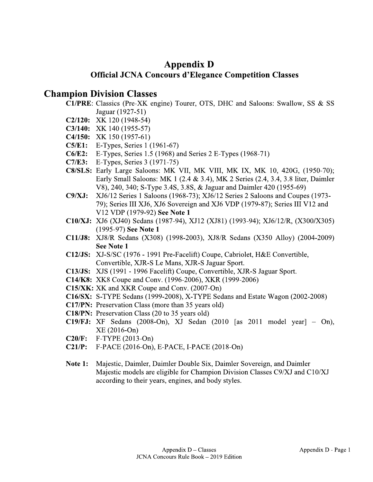## **Appendix D Official JCNA Concours d'Elegance Competition Classes**

## **Champion Division Classes**

- C1/PRE: Classics (Pre-XK engine) Tourer, OTS, DHC and Saloons: Swallow, SS & SS Jaguar (1927-51)
- $C2/120$ : XK 120 (1948-54)
- C3/140: XK 140 (1955-57)
- C4/150: XK 150 (1957-61)
- **C5/E1:** E-Types, Series 1 (1961-67)
- C6/E2: E-Types, Series 1.5 (1968) and Series 2 E-Types (1968-71)
- **C7/E3:** E-Types, Series 3 (1971-75)
- C8/SLS: Early Large Saloons: MK VII, MK VIII, MK IX, MK 10, 420G, (1950-70); Early Small Saloons: MK 1 (2.4 & 3.4), MK 2 Series (2.4, 3.4, 3.8 liter, Daimler V8), 240, 340; S-Type 3.4S, 3.8S, & Jaguar and Daimler 420 (1955-69)
- XJ6/12 Series 1 Saloons (1968-73); XJ6/12 Series 2 Saloons and Coupes (1973- $C9/XJ:$ 79); Series III XJ6, XJ6 Sovereign and XJ6 VDP (1979-87); Series III V12 and V12 VDP (1979-92) See Note 1
- C10/XJ: XJ6 (XJ40) Sedans (1987-94), XJ12 (XJ81) (1993-94); XJ6/12/R, (X300/X305) (1995-97) See Note 1
- C11/J8: XJ8/R Sedans (X308) (1998-2003), XJ8/R Sedans (X350 Alloy) (2004-2009) **See Note 1**
- C12/JS: XJ-S/SC (1976 1991 Pre-Facelift) Coupe, Cabriolet, H&E Convertible, Convertible, XJR-S Le Mans, XJR-S Jaguar Sport.
- C13/JS: XJS (1991 1996 Facelift) Coupe, Convertible, XJR-S Jaguar Sport.
- **C14/K8:** XK8 Coupe and Conv. (1996-2006), XKR (1999-2006)
- C15/XK: XK and XKR Coupe and Conv. (2007-On)
- C16/SX: S-TYPE Sedans (1999-2008), X-TYPE Sedans and Estate Wagon (2002-2008)
- **C17/PN:** Preservation Class (more than 35 years old)
- C18/PN: Preservation Class (20 to 35 years old)
- C19/FJ: XF Sedans (2008-On), XJ Sedan (2010 [as 2011 model year]  $-$  On),  $XE(2016-On)$
- $F-TYPE (2013-On)$  $C20/F:$
- $C21/P:$ F-PACE (2016-On), E-PACE, I-PACE (2018-On)
- **Note 1:** Majestic, Daimler, Daimler Double Six, Daimler Sovereign, and Daimler Majestic models are eligible for Champion Division Classes C9/XJ and C10/XJ according to their years, engines, and body styles.